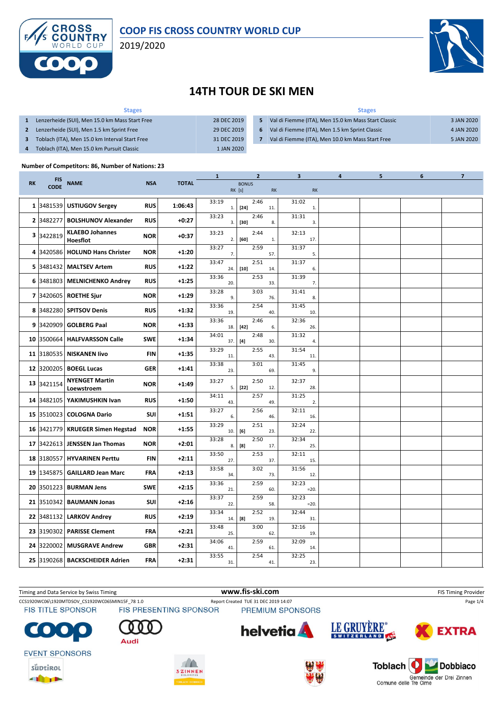

#### **COOP FIS CROSS COUNTRY WORLD CUP**

2019/2020



# **14TH TOUR DE SKI MEN**

| <b>Stages</b>                                  |             | <b>Stages</b> |                                                     |            |  |  |  |  |
|------------------------------------------------|-------------|---------------|-----------------------------------------------------|------------|--|--|--|--|
| Lenzerheide (SUI), Men 15.0 km Mass Start Free | 28 DEC 2019 | 5             | Val di Fiemme (ITA), Men 15.0 km Mass Start Classic | 3 JAN 2020 |  |  |  |  |
| Lenzerheide (SUI), Men 1.5 km Sprint Free      | 29 DEC 2019 | 6             | Val di Fiemme (ITA), Men 1.5 km Sprint Classic      | 4 JAN 2020 |  |  |  |  |
| Toblach (ITA), Men 15.0 km Interval Start Free | 31 DEC 2019 |               | Val di Fiemme (ITA), Men 10.0 km Mass Start Free    | 5 JAN 2020 |  |  |  |  |
| Toblach (ITA), Men 15.0 km Pursuit Classic     | 1 JAN 2020  |               |                                                     |            |  |  |  |  |

#### **Number of Competitors: 86, Number of Nations: 23**

|           |                           |                                     |            |              | $\mathbf{1}$ | 2                                                                                                                                                                                                                                         |               | 3               |              | 4 | 5 | 6 | 7 |
|-----------|---------------------------|-------------------------------------|------------|--------------|--------------|-------------------------------------------------------------------------------------------------------------------------------------------------------------------------------------------------------------------------------------------|---------------|-----------------|--------------|---|---|---|---|
| <b>RK</b> | <b>FIS</b><br><b>CODE</b> | <b>NAME</b>                         | <b>NSA</b> | <b>TOTAL</b> |              | <b>BONUS</b><br>RK [s]                                                                                                                                                                                                                    | $\mathsf{RK}$ |                 | <b>RK</b>    |   |   |   |   |
|           | 1 3481539                 | <b>USTIUGOV Sergey</b>              | <b>RUS</b> | 1:06:43      | 33:19<br>1.  | 2:46<br>$[24]$                                                                                                                                                                                                                            | 11.           | 31:02           | $\mathbf{1}$ |   |   |   |   |
|           | 2 3482277                 | <b>BOLSHUNOV Alexander</b>          | <b>RUS</b> | $+0:27$      | 33:23<br>3.  | 2:46<br>$[30]$                                                                                                                                                                                                                            | 8.            | 31:31           | 3.           |   |   |   |   |
|           | 3 3422819                 | <b>KLAEBO Johannes</b><br>Hoesflot  | <b>NOR</b> | $+0:37$      | 33:23<br>2.  | 2:44<br>$[60]$                                                                                                                                                                                                                            | 1.            | 32:13           | 17.          |   |   |   |   |
|           | 4 3420586                 | <b>HOLUND Hans Christer</b>         | <b>NOR</b> | $+1:20$      | 33:27<br>7.  | 2:59                                                                                                                                                                                                                                      | 57.           | 31:37           | 5.           |   |   |   |   |
|           | 5 3481432                 | <b>MALTSEV Artem</b>                | <b>RUS</b> | $+1:22$      | 33:47<br>24. | 2:51<br>$[10]$                                                                                                                                                                                                                            | 14.           | 31:37           | 6.           |   |   |   |   |
|           | 6 3481803                 | <b>MELNICHENKO Andrey</b>           | <b>RUS</b> | $+1:25$      | 33:36<br>20. | 2:53                                                                                                                                                                                                                                      | 33.           | 31:39           | 7.           |   |   |   |   |
|           | 7 3420605                 | <b>ROETHE Sjur</b>                  | <b>NOR</b> | +1:29        | 33:28<br>9.  | 3:03                                                                                                                                                                                                                                      | 76.           | 31:41           | 8.           |   |   |   |   |
|           |                           | 8 3482280 SPITSOV Denis             | <b>RUS</b> | $+1:32$      | 33:36<br>19. | 2:54                                                                                                                                                                                                                                      | 40.           | 31:45           | 10.          |   |   |   |   |
|           | 9 3420909                 | <b>GOLBERG Paal</b>                 | <b>NOR</b> | $+1:33$      | 33:36<br>18. | 2:46<br>$[42]$                                                                                                                                                                                                                            | 6.            | 32:36           | 26.          |   |   |   |   |
|           | 10 3500664                | <b>HALFVARSSON Calle</b>            | <b>SWE</b> | $+1:34$      | 34:01<br>37. | 2:48<br>$[4] \centering% \includegraphics[width=1\textwidth]{images/TransY.pdf} \caption{The first two different values of $d=3$ and $d=4$ (left) and $d=5$ (right). The first two different values of $d=3$ (right).} \label{fig:class}$ | 30.           | 31:32           | 4.           |   |   |   |   |
|           | 11 3180535                | <b>NISKANEN livo</b>                | <b>FIN</b> | $+1:35$      | 33:29<br>11. | 2:55                                                                                                                                                                                                                                      | 43.           | 31:54           | 11.          |   |   |   |   |
|           | 12 3200205                | <b>BOEGL Lucas</b>                  | <b>GER</b> | +1:41        | 33:38<br>23. | 3:01                                                                                                                                                                                                                                      | 69.           | 31:45           | 9.           |   |   |   |   |
|           | 13 3421154                | <b>NYENGET Martin</b><br>Loewstroem | <b>NOR</b> | $+1:49$      | 33:27<br>5.  | 2:50<br>$[22]$                                                                                                                                                                                                                            | 12.           | 32:37           | 28.          |   |   |   |   |
|           | 14 3482105                | YAKIMUSHKIN Ivan                    | <b>RUS</b> | $+1:50$      | 34:11<br>43. | 2:57                                                                                                                                                                                                                                      | 49.           | 31:25           | 2.           |   |   |   |   |
|           | 15 3510023                | <b>COLOGNA Dario</b>                | <b>SUI</b> | $+1:51$      | 33:27<br>6.  | 2:56                                                                                                                                                                                                                                      | 46.           | 32:11           | 16.          |   |   |   |   |
|           | 16 3421779                | <b>KRUEGER Simen Hegstad</b>        | <b>NOR</b> | $+1:55$      | 33:29<br>10. | 2:51<br>[6]                                                                                                                                                                                                                               | 23.           | 32:24           | 22.          |   |   |   |   |
|           | 17 3422613                | <b>JENSSEN Jan Thomas</b>           | <b>NOR</b> | $+2:01$      | 33:28<br>8.  | 2:50<br>[8]                                                                                                                                                                                                                               | 17.           | 32:34           | 25.          |   |   |   |   |
|           | 18 3180557                | <b>HYVARINEN Perttu</b>             | <b>FIN</b> | $+2:11$      | 33:50<br>27. | 2:53                                                                                                                                                                                                                                      | 37.           | 32:11           | 15.          |   |   |   |   |
|           | 19 1345875                | <b>GAILLARD Jean Marc</b>           | FRA        | $+2:13$      | 33:58<br>34. | 3:02                                                                                                                                                                                                                                      | 73.           | 31:56           | 12.          |   |   |   |   |
|           | 20 3501223                | <b>BURMAN Jens</b>                  | <b>SWE</b> | $+2:15$      | 33:36<br>21. | 2:59                                                                                                                                                                                                                                      | 60.           | 32:23<br>$=20.$ |              |   |   |   |   |
|           | 21 3510342                | <b>BAUMANN Jonas</b>                | SUI        | $+2:16$      | 33:37<br>22. | 2:59                                                                                                                                                                                                                                      | 58.           | 32:23           | $=20.$       |   |   |   |   |
|           | 22 3481132                | <b>LARKOV Andrey</b>                | <b>RUS</b> | $+2:19$      | 33:34<br>14. | 2:52<br>[8]                                                                                                                                                                                                                               | 19.           | 32:44           | 31.          |   |   |   |   |
|           | 23 3190302                | <b>PARISSE Clement</b>              | FRA        | $+2:21$      | 33:48<br>25. | 3:00                                                                                                                                                                                                                                      | 62.           | 32:16           | 19.          |   |   |   |   |
|           | 24 3220002                | <b>MUSGRAVE Andrew</b>              | <b>GBR</b> | $+2:31$      | 34:06<br>41. | 2:59                                                                                                                                                                                                                                      | 61.           | 32:09           | 14.          |   |   |   |   |
|           |                           | 25 3190268 BACKSCHEIDER Adrien      | FRA        | $+2:31$      | 33:55<br>31. | 2:54                                                                                                                                                                                                                                      | 41.           | 32:25           | 23.          |   |   |   |   |

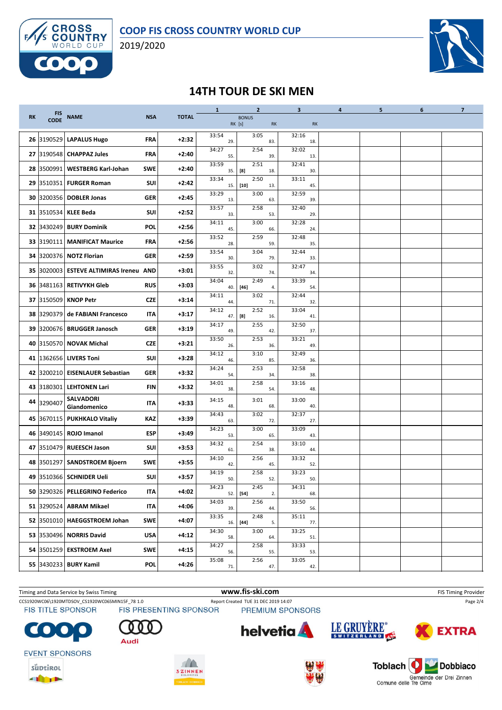

2019/2020



## **14TH TOUR DE SKI MEN**

|           | <b>FIS</b>  |                                    |            | <b>TOTAL</b> | $\mathbf{1}$ | $\overline{2}$         |     | 3            | $\overline{a}$ | 5 | 6 | $\overline{7}$ |
|-----------|-------------|------------------------------------|------------|--------------|--------------|------------------------|-----|--------------|----------------|---|---|----------------|
| <b>RK</b> | <b>CODE</b> | <b>NAME</b>                        | <b>NSA</b> |              |              | <b>BONUS</b><br>RK [s] | RK  |              | <b>RK</b>      |   |   |                |
|           | 26 3190529  | <b>LAPALUS Hugo</b>                | <b>FRA</b> | $+2:32$      | 33:54<br>29. | 3:05                   | 83. | 32:16<br>18. |                |   |   |                |
|           |             | 27 3190548 CHAPPAZ Jules           | <b>FRA</b> | $+2:40$      | 34:27<br>55. | 2:54                   | 39. | 32:02<br>13. |                |   |   |                |
|           | 28 3500991  | <b>WESTBERG Karl-Johan</b>         | <b>SWE</b> | $+2:40$      | 33:59<br>35. | 2:51<br>$^{[8]}$       | 18. | 32:41<br>30. |                |   |   |                |
|           | 29 3510351  | <b>FURGER Roman</b>                | SUI        | $+2:42$      | 33:34<br>15. | 2:50<br>$[10]$         | 13. | 33:11<br>45. |                |   |   |                |
|           | 30 3200356  | <b>DOBLER Jonas</b>                | <b>GER</b> | $+2:45$      | 33:29<br>13. | 3:00                   | 63. | 32:59<br>39. |                |   |   |                |
|           |             | 31 3510534 KLEE Beda               | <b>SUI</b> | $+2:52$      | 33:57<br>33. | 2:58                   | 53. | 32:40<br>29. |                |   |   |                |
|           | 32 3430249  | <b>BURY Dominik</b>                | <b>POL</b> | $+2:56$      | 34:11<br>45. | 3:00                   | 66. | 32:28<br>24. |                |   |   |                |
|           | 33 3190111  | <b>MANIFICAT Maurice</b>           | <b>FRA</b> | $+2:56$      | 33:52<br>28. | 2:59                   | 59. | 32:48<br>35. |                |   |   |                |
|           |             | 34 3200376 NOTZ Florian            | <b>GER</b> | $+2:59$      | 33:54<br>30. | 3:04                   | 79. | 32:44<br>33. |                |   |   |                |
|           | 35 3020003  | <b>ESTEVE ALTIMIRAS Ireneu AND</b> |            | $+3:01$      | 33:55<br>32. | 3:02                   | 74. | 32:47<br>34. |                |   |   |                |
|           |             | 36  3481163   RETIVYKH Gleb        | <b>RUS</b> | $+3:03$      | 34:04<br>40. | 2:49<br>$[46]$         | 4.  | 33:39<br>54. |                |   |   |                |
|           | 37 3150509  | <b>KNOP Petr</b>                   | <b>CZE</b> | $+3:14$      | 34:11<br>44. | 3:02                   | 71. | 32:44<br>32. |                |   |   |                |
|           | 38 3290379  | de FABIANI Francesco               | IΤΑ        | $+3:17$      | 34:12<br>47. | 2:52<br>[8]            | 16. | 33:04<br>41. |                |   |   |                |
|           |             | 39 3200676 BRUGGER Janosch         | <b>GER</b> | $+3:19$      | 34:17<br>49. | 2:55                   | 42. | 32:50<br>37. |                |   |   |                |
|           |             | 40 3150570 NOVAK Michal            | <b>CZE</b> | $+3:21$      | 33:50<br>26. | 2:53                   | 36. | 33:21<br>49. |                |   |   |                |
|           | 41 1362656  | <b>LIVERS Toni</b>                 | <b>SUI</b> | $+3:28$      | 34:12<br>46. | 3:10                   | 85. | 32:49<br>36. |                |   |   |                |
|           | 42 3200210  | EISENLAUER Sebastian               | <b>GER</b> | $+3:32$      | 34:24<br>54. | 2:53                   | 34. | 32:58<br>38. |                |   |   |                |
|           |             | 43 3180301 LEHTONEN Lari           | FIN        | $+3:32$      | 34:01<br>38. | 2:58                   | 54. | 33:16<br>48. |                |   |   |                |
|           | 44 3290407  | <b>SALVADORI</b><br>Giandomenico   | IΤΑ        | $+3:33$      | 34:15<br>48. | 3:01                   | 68. | 33:00<br>40. |                |   |   |                |
|           |             | 45 3670115 PUKHKALO Vitaliy        | KAZ        | $+3:39$      | 34:43<br>63. | 3:02                   | 72. | 32:37<br>27. |                |   |   |                |
|           |             | 46 3490145 ROJO Imanol             | <b>ESP</b> | $+3:49$      | 34:23<br>53. | 3:00                   | 65. | 33:09<br>43. |                |   |   |                |
|           | 47 3510479  | <b>RUEESCH Jason</b>               | SUI        | $+3:53$      | 34:32<br>61. | 2:54                   | 38. | 33:10<br>44. |                |   |   |                |
|           | 48 3501297  | <b>SANDSTROEM Bjoern</b>           | <b>SWE</b> | $+3:55$      | 34:10<br>42. | 2:56                   | 45. | 33:32<br>52. |                |   |   |                |
|           | 49 3510366  | <b>SCHNIDER Ueli</b>               | SUI        | $+3:57$      | 34:19<br>50. | 2:58                   | 52. | 33:23<br>50. |                |   |   |                |
|           |             | 50 3290326 PELLEGRINO Federico     | ITA        | $+4:02$      | 34:23<br>52. | 2:45<br>$[54]$         | 2.  | 34:31<br>68. |                |   |   |                |
|           |             | 51 3290524 ABRAM Mikael            | IΤΑ        | +4:06        | 34:03<br>39. | 2:56                   | 44. | 33:50<br>56. |                |   |   |                |
|           |             | 52 3501010 HAEGGSTROEM Johan       | <b>SWE</b> | $+4:07$      | 33:35<br>16. | 2:48<br>$[44]$         | 5.  | 35:11<br>77. |                |   |   |                |
|           |             | 53 3530496 NORRIS David            | <b>USA</b> | +4:12        | 34:30<br>58. | 3:00                   | 64. | 33:25<br>51. |                |   |   |                |
|           |             | 54  3501259   EKSTROEM Axel        | <b>SWE</b> | $+4:15$      | 34:27<br>56. | 2:58                   | 55. | 33:33<br>53. |                |   |   |                |
|           |             | 55 3430233 BURY Kamil              | <b>POL</b> | $+4:26$      | 35:08<br>71. | 2:56                   | 47. | 33:05<br>42. |                |   |   |                |

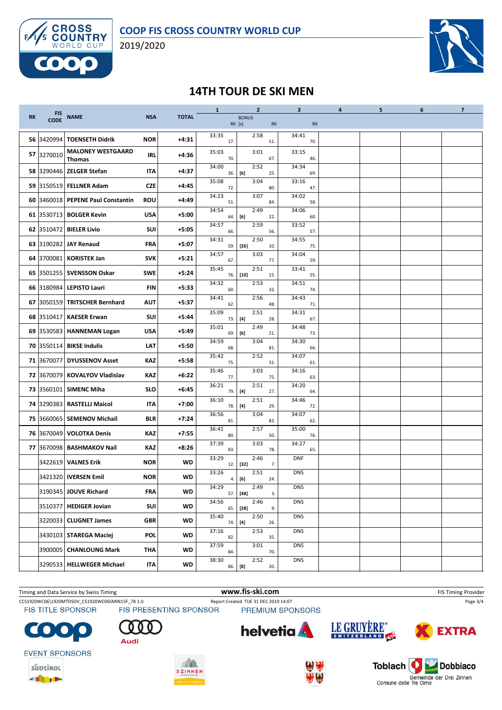

2019/2020



## **14TH TOUR DE SKI MEN**

|           |             |                                           |            |              | $\mathbf{1}$ | $\overline{2}$                                                                                                                                                                                                                            |     | 3            | 4 | 5 | 6 | $\overline{7}$ |
|-----------|-------------|-------------------------------------------|------------|--------------|--------------|-------------------------------------------------------------------------------------------------------------------------------------------------------------------------------------------------------------------------------------------|-----|--------------|---|---|---|----------------|
| <b>RK</b> | FIS<br>CODE | <b>NAME</b>                               | <b>NSA</b> | <b>TOTAL</b> |              | <b>BONUS</b><br>RK [s]                                                                                                                                                                                                                    | RK  | <b>RK</b>    |   |   |   |                |
|           |             | 56 3420994 TOENSETH Didrik                | <b>NOR</b> | $+4:31$      | 33:35<br>17. | 2:58                                                                                                                                                                                                                                      | 51. | 34:41<br>70. |   |   |   |                |
|           | 57 3270010  | <b>MALONEY WESTGAARD</b><br><b>Thomas</b> | <b>IRL</b> | +4:36        | 35:03<br>70. | 3:01                                                                                                                                                                                                                                      | 67. | 33:15<br>46. |   |   |   |                |
|           |             | 58 3290446   ZELGER Stefan                | IΤΑ        | $+4:37$      | 34:00<br>36. | 2:52<br>[6]                                                                                                                                                                                                                               | 25. | 34:34<br>69. |   |   |   |                |
|           |             | 59 3150519 FELLNER Adam                   | <b>CZE</b> | +4:45        | 35:08<br>72. | 3:04                                                                                                                                                                                                                                      | 80  | 33:16<br>47. |   |   |   |                |
|           |             | 60 3460018 PEPENE Paul Constantin         | <b>ROU</b> | $+4:49$      | 34:23<br>51. | 3:07                                                                                                                                                                                                                                      | 84. | 34:02<br>58. |   |   |   |                |
|           |             | 61 3530713 BOLGER Kevin                   | <b>USA</b> | $+5:00$      | 34:54<br>64. | 2:49<br>[6]                                                                                                                                                                                                                               | 22. | 34:06<br>60. |   |   |   |                |
|           | 62 3510472  | <b>BIELER Livio</b>                       | <b>SUI</b> | $+5:05$      | 34:57<br>66. | 2:59                                                                                                                                                                                                                                      | 56. | 33:52<br>57. |   |   |   |                |
|           |             | 63 3190282 JAY Renaud                     | FRA        | $+5:07$      | 34:31<br>59. | 2:50<br>$[26]$                                                                                                                                                                                                                            | 10. | 34:55<br>75. |   |   |   |                |
|           | 64 3700081  | <b>KORISTEK Jan</b>                       | <b>SVK</b> | $+5:21$      | 34:57<br>67. | 3:03                                                                                                                                                                                                                                      | 77. | 34:04<br>59. |   |   |   |                |
|           |             | 65 3501255 SVENSSON Oskar                 | <b>SWE</b> | $+5:24$      | 35:45<br>76. | 2:51<br>$[10]$                                                                                                                                                                                                                            | 15. | 33:41<br>55. |   |   |   |                |
|           |             | 66 3180984 LEPISTO Lauri                  | <b>FIN</b> | $+5:33$      | 34:32<br>60. | 2:53                                                                                                                                                                                                                                      | 32. | 34:51<br>74. |   |   |   |                |
|           | 67 3050159  | <b>TRITSCHER Bernhard</b>                 | <b>AUT</b> | +5:37        | 34:41<br>62. | 2:56                                                                                                                                                                                                                                      | 48. | 34:43<br>71. |   |   |   |                |
|           | 68 3510417  | <b>KAESER Erwan</b>                       | <b>SUI</b> | $+5:44$      | 35:09<br>73. | 2:51<br>[4]                                                                                                                                                                                                                               | 28. | 34:31<br>67. |   |   |   |                |
|           |             | 69 3530583 HANNEMAN Logan                 | <b>USA</b> | +5:49        | 35:01<br>69. | 2:49<br>[6]                                                                                                                                                                                                                               | 21. | 34:48<br>73. |   |   |   |                |
|           |             | 70 3550114 BIKSE Indulis                  | LAT        | +5:50        | 34:59<br>68. | 3:04                                                                                                                                                                                                                                      | 81. | 34:30<br>66. |   |   |   |                |
|           | 71 3670077  | <b>DYUSSENOV Asset</b>                    | KAZ        | +5:58        | 35:42<br>75. | 2:52                                                                                                                                                                                                                                      | 31. | 34:07<br>61. |   |   |   |                |
|           | 72 3670079  | <b>KOVALYOV Vladislav</b>                 | KAZ        | $+6:22$      | 35:46<br>77. | 3:03                                                                                                                                                                                                                                      | 75. | 34:16<br>63. |   |   |   |                |
|           | 73 3560101  | <b>SIMENC Miha</b>                        | <b>SLO</b> | $+6:45$      | 36:21<br>79. | 2:51<br>$[4] \centering% \includegraphics[width=1\textwidth]{images/TransY.pdf} \caption{The first two different values of $d=3$ and $d=4$ (left) and $d=5$ (right). The first two different values of $d=4$ (right).} \label{fig:class}$ | 27. | 34:20<br>64. |   |   |   |                |
|           | 74 3290383  | RASTELLI Maicol                           | IΤΑ        | $+7:00$      | 36:10<br>78. | 2:51<br>[4]                                                                                                                                                                                                                               | 29. | 34:46<br>72. |   |   |   |                |
|           |             | 75 3660065   SEMENOV Michail              | <b>BLR</b> | $+7:24$      | 36:56<br>81. | 3:04                                                                                                                                                                                                                                      | 82. | 34:07<br>62. |   |   |   |                |
|           |             | 76 3670049 VOLOTKA Denis                  | KAZ        | $+7:55$      | 36:41<br>80. | 2:57                                                                                                                                                                                                                                      | 50. | 35:00<br>76. |   |   |   |                |
|           |             | 77 3670098 BASHMAKOV Nail                 | KAZ        | $+8:26$      | 37:39<br>83. | 3:03                                                                                                                                                                                                                                      | 78. | 34:27<br>65. |   |   |   |                |
|           | 3422619     | <b>VALNES Erik</b>                        | <b>NOR</b> | WD           | 33:29<br>12. | 2:46<br>$[32]$                                                                                                                                                                                                                            | 7.  | <b>DNF</b>   |   |   |   |                |
|           |             | 3421320   IVERSEN Emil                    | <b>NOR</b> | WD           | 33:26        | 2:51<br>4. [6]                                                                                                                                                                                                                            | 24. | <b>DNS</b>   |   |   |   |                |
|           |             | 3190345 JOUVE Richard                     | FRA        | WD           | 34:29<br>57. | 2:49<br>$[48]$                                                                                                                                                                                                                            | 3.  | <b>DNS</b>   |   |   |   |                |
|           | 3510377     | <b>HEDIGER Jovian</b>                     | SUI        | WD           | 34:56<br>65. | 2:46<br>$[28]$                                                                                                                                                                                                                            | 9.  | <b>DNS</b>   |   |   |   |                |
|           |             | 3220033 CLUGNET James                     | <b>GBR</b> | WD           | 35:40<br>74. | 2:50<br>[4]                                                                                                                                                                                                                               | 26. | <b>DNS</b>   |   |   |   |                |
|           |             | 3430103   STAREGA Maciej                  | <b>POL</b> | WD           | 37:16<br>82. | 2:53                                                                                                                                                                                                                                      | 35. | <b>DNS</b>   |   |   |   |                |
|           |             | 3900005   CHANLOUNG Mark                  | <b>THA</b> | WD           | 37:59<br>84. | 3:01                                                                                                                                                                                                                                      | 70. | <b>DNS</b>   |   |   |   |                |
|           |             | 3290533   HELLWEGER Michael               | <b>ITA</b> | WD           | 38:30        | 2:52<br>86. [8]                                                                                                                                                                                                                           | 20. | <b>DNS</b>   |   |   |   |                |



Comme delle Tre Cime<br>Comme delle Tre Cime<br>Comme delle Tre Cime



**THEFT**